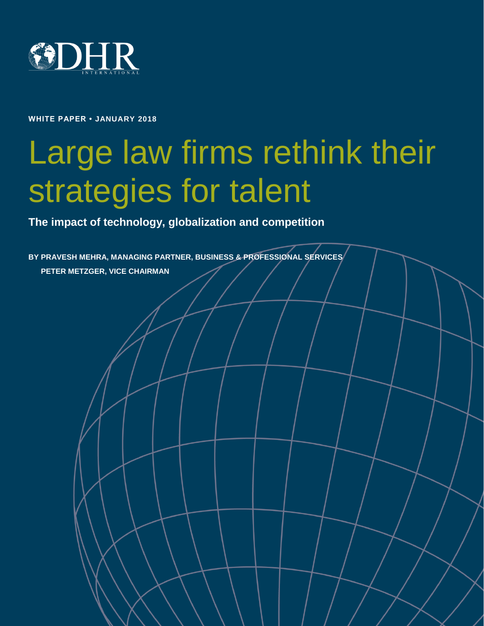

**WHITE PAPER • JANUARY 2018**

# Large law firms rethink their strategies for talent

Copyright © 2017 DHR International, Inc. All Rights Reserved. **Law firms & talent** •

**The impact of technology, globalization and competition**

**BY PRAVESH MEHRA, MANAGING PARTNER, BUSINESS & PROFESSIONAL SERVICES PETER METZGER, VICE CHAIRMAN**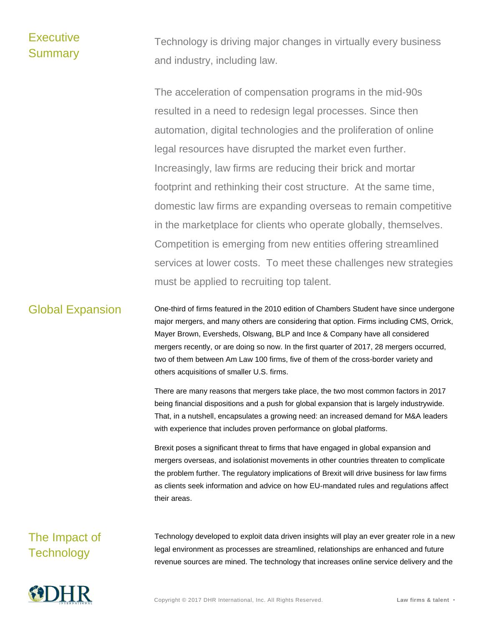### **Executive** Summary

Technology is driving major changes in virtually every business and industry, including law.

The acceleration of compensation programs in the mid-90s resulted in a need to redesign legal processes. Since then automation, digital technologies and the proliferation of online legal resources have disrupted the market even further. Increasingly, law firms are reducing their brick and mortar footprint and rethinking their cost structure. At the same time, domestic law firms are expanding overseas to remain competitive in the marketplace for clients who operate globally, themselves. Competition is emerging from new entities offering streamlined services at lower costs. To meet these challenges new strategies must be applied to recruiting top talent.

Global Expansion One-third of firms featured in the 2010 edition of Chambers Student have since undergone major mergers, and many others are considering that option. Firms including CMS, Orrick, Mayer Brown, Eversheds, Olswang, BLP and Ince & Company have all considered mergers recently, or are doing so now. In the first quarter of 2017, 28 mergers occurred, two of them between Am Law 100 firms, five of them of the cross-border variety and others acquisitions of smaller U.S. firms.

> There are many reasons that mergers take place, the two most common factors in 2017 being financial dispositions and a push for global expansion that is largely industrywide. That, in a nutshell, encapsulates a growing need: an increased demand for M&A leaders with experience that includes proven performance on global platforms.

> Brexit poses a significant threat to firms that have engaged in global expansion and mergers overseas, and isolationist movements in other countries threaten to complicate the problem further. The regulatory implications of Brexit will drive business for law firms as clients seek information and advice on how EU-mandated rules and regulations affect their areas.

## The Impact of **Technology**

Technology developed to exploit data driven insights will play an ever greater role in a new legal environment as processes are streamlined, relationships are enhanced and future revenue sources are mined. The technology that increases online service delivery and the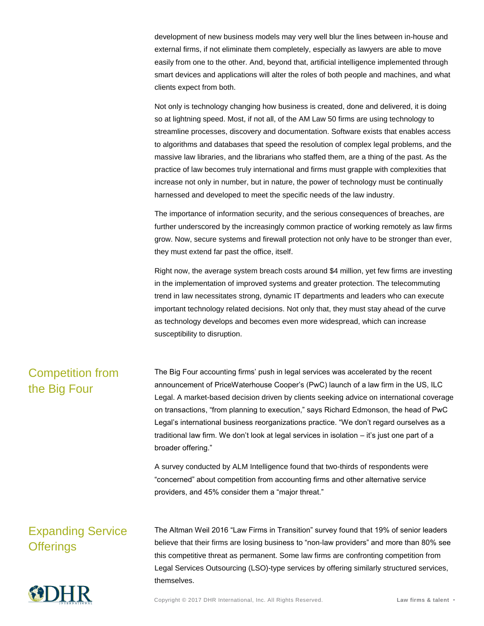development of new business models may very well blur the lines between in-house and external firms, if not eliminate them completely, especially as lawyers are able to move easily from one to the other. And, beyond that, artificial intelligence implemented through smart devices and applications will alter the roles of both people and machines, and what clients expect from both.

Not only is technology changing how business is created, done and delivered, it is doing so at lightning speed. Most, if not all, of the AM Law 50 firms are using technology to streamline processes, discovery and documentation. Software exists that enables access to algorithms and databases that speed the resolution of complex legal problems, and the massive law libraries, and the librarians who staffed them, are a thing of the past. As the practice of law becomes truly international and firms must grapple with complexities that increase not only in number, but in nature, the power of technology must be continually harnessed and developed to meet the specific needs of the law industry.

The importance of information security, and the serious consequences of breaches, are further underscored by the increasingly common practice of working remotely as law firms grow. Now, secure systems and firewall protection not only have to be stronger than ever, they must extend far past the office, itself.

Right now, the average system breach costs around \$4 million, yet few firms are investing in the implementation of improved systems and greater protection. The telecommuting trend in law necessitates strong, dynamic IT departments and leaders who can execute important technology related decisions. Not only that, they must stay ahead of the curve as technology develops and becomes even more widespread, which can increase susceptibility to disruption.

### Competition from the Big Four

The Big Four accounting firms' push in legal services was accelerated by the recent announcement of PriceWaterhouse Cooper's (PwC) launch of a law firm in the US, ILC Legal. A market-based decision driven by clients seeking advice on international coverage on transactions, "from planning to execution," says Richard Edmonson, the head of PwC Legal's international business reorganizations practice. "We don't regard ourselves as a traditional law firm. We don't look at legal services in isolation – it's just one part of a broader offering."

A survey conducted by ALM Intelligence found that two-thirds of respondents were "concerned" about competition from accounting firms and other alternative service providers, and 45% consider them a "major threat."

# Expanding Service **Offerings**

The Altman Weil 2016 "Law Firms in Transition" survey found that 19% of senior leaders believe that their firms are losing business to "non-law providers" and more than 80% see this competitive threat as permanent. Some law firms are confronting competition from Legal Services Outsourcing (LSO)-type services by offering similarly structured services, themselves.

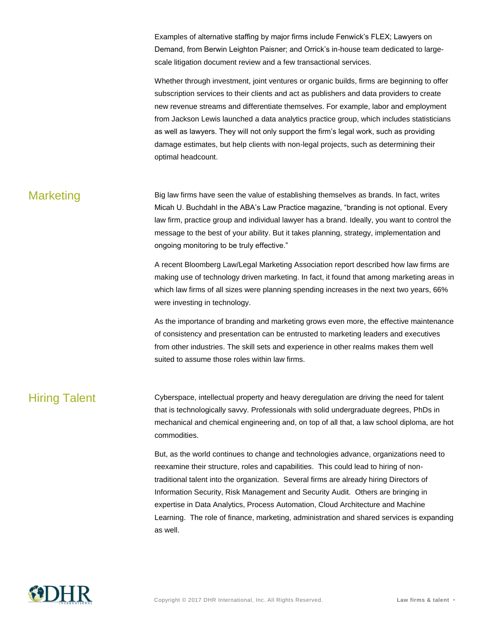Examples of alternative staffing by major firms include Fenwick's FLEX; Lawyers on Demand, from Berwin Leighton Paisner; and Orrick's in-house team dedicated to largescale litigation document review and a few transactional services.

Whether through investment, joint ventures or organic builds, firms are beginning to offer subscription services to their clients and act as publishers and data providers to create new revenue streams and differentiate themselves. For example, labor and employment from Jackson Lewis launched a data analytics practice group, which includes statisticians as well as lawyers. They will not only support the firm's legal work, such as providing damage estimates, but help clients with non-legal projects, such as determining their optimal headcount.

Marketing Big law firms have seen the value of establishing themselves as brands. In fact, writes Micah U. Buchdahl in the ABA's Law Practice magazine, "branding is not optional. Every law firm, practice group and individual lawyer has a brand. Ideally, you want to control the message to the best of your ability. But it takes planning, strategy, implementation and ongoing monitoring to be truly effective."

> A recent Bloomberg Law/Legal Marketing Association report described how law firms are making use of technology driven marketing. In fact, it found that among marketing areas in which law firms of all sizes were planning spending increases in the next two years, 66% were investing in technology.

> As the importance of branding and marketing grows even more, the effective maintenance of consistency and presentation can be entrusted to marketing leaders and executives from other industries. The skill sets and experience in other realms makes them well suited to assume those roles within law firms.

Hiring Talent Cyberspace, intellectual property and heavy deregulation are driving the need for talent that is technologically savvy. Professionals with solid undergraduate degrees, PhDs in mechanical and chemical engineering and, on top of all that, a law school diploma, are hot commodities.

> But, as the world continues to change and technologies advance, organizations need to reexamine their structure, roles and capabilities. This could lead to hiring of nontraditional talent into the organization. Several firms are already hiring Directors of Information Security, Risk Management and Security Audit. Others are bringing in expertise in Data Analytics, Process Automation, Cloud Architecture and Machine Learning. The role of finance, marketing, administration and shared services is expanding as well.

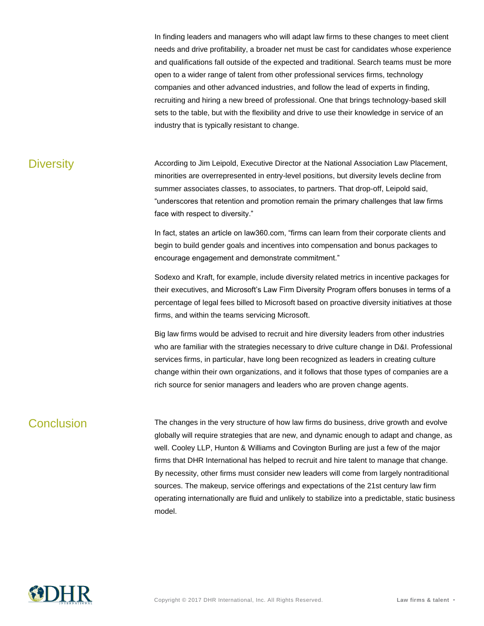In finding leaders and managers who will adapt law firms to these changes to meet client needs and drive profitability, a broader net must be cast for candidates whose experience and qualifications fall outside of the expected and traditional. Search teams must be more open to a wider range of talent from other professional services firms, technology companies and other advanced industries, and follow the lead of experts in finding, recruiting and hiring a new breed of professional. One that brings technology-based skill sets to the table, but with the flexibility and drive to use their knowledge in service of an industry that is typically resistant to change.

Diversity **According to Jim Leipold, Executive Director at the National Association Law Placement,** minorities are overrepresented in entry-level positions, but diversity levels decline from summer associates classes, to associates, to partners. That drop-off, Leipold said, "underscores that retention and promotion remain the primary challenges that law firms face with respect to diversity."

> In fact, states an article on law360.com, "firms can learn from their corporate clients and begin to build gender goals and incentives into compensation and bonus packages to encourage engagement and demonstrate commitment."

Sodexo and Kraft, for example, include diversity related metrics in incentive packages for their executives, and Microsoft's Law Firm Diversity Program offers bonuses in terms of a percentage of legal fees billed to Microsoft based on proactive diversity initiatives at those firms, and within the teams servicing Microsoft.

Big law firms would be advised to recruit and hire diversity leaders from other industries who are familiar with the strategies necessary to drive culture change in D&I. Professional services firms, in particular, have long been recognized as leaders in creating culture change within their own organizations, and it follows that those types of companies are a rich source for senior managers and leaders who are proven change agents.

Conclusion The changes in the very structure of how law firms do business, drive growth and evolve globally will require strategies that are new, and dynamic enough to adapt and change, as well. Cooley LLP, Hunton & Williams and Covington Burling are just a few of the major firms that DHR International has helped to recruit and hire talent to manage that change. By necessity, other firms must consider new leaders will come from largely nontraditional sources. The makeup, service offerings and expectations of the 21st century law firm operating internationally are fluid and unlikely to stabilize into a predictable, static business model.

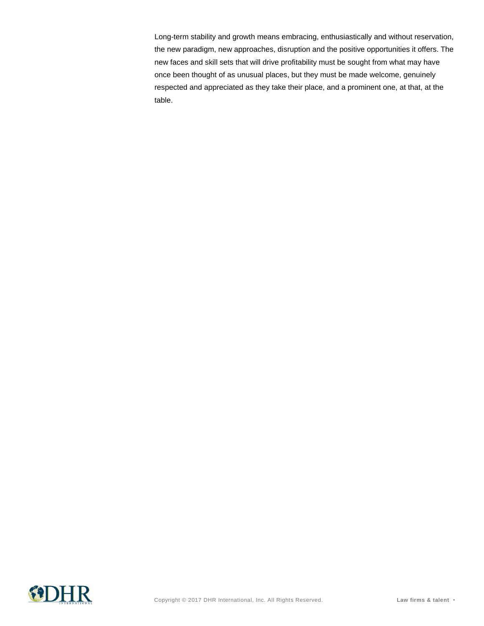Long-term stability and growth means embracing, enthusiastically and without reservation, the new paradigm, new approaches, disruption and the positive opportunities it offers. The new faces and skill sets that will drive profitability must be sought from what may have once been thought of as unusual places, but they must be made welcome, genuinely respected and appreciated as they take their place, and a prominent one, at that, at the table.